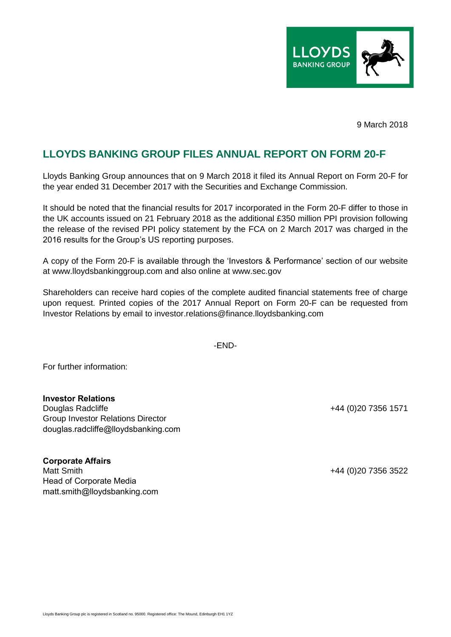

9 March 2018

## **LLOYDS BANKING GROUP FILES ANNUAL REPORT ON FORM 20-F**

Lloyds Banking Group announces that on 9 March 2018 it filed its Annual Report on Form 20-F for the year ended 31 December 2017 with the Securities and Exchange Commission.

It should be noted that the financial results for 2017 incorporated in the Form 20-F differ to those in the UK accounts issued on 21 February 2018 as the additional £350 million PPI provision following the release of the revised PPI policy statement by the FCA on 2 March 2017 was charged in the 2016 results for the Group's US reporting purposes.

A copy of the Form 20-F is available through the 'Investors & Performance' section of our website at www.lloydsbankinggroup.com and also online at www.sec.gov

Shareholders can receive hard copies of the complete audited financial statements free of charge upon request. Printed copies of the 2017 Annual Report on Form 20-F can be requested from Investor Relations by email to investor.relations@finance.lloydsbanking.com

-END-

For further information:

**Investor Relations** Douglas Radcliffe +44 (0)20 7356 1571 Group Investor Relations Director douglas.radcliffe@lloydsbanking.com

**Corporate Affairs** Matt Smith +44 (0)20 7356 3522 Head of Corporate Media matt.smith@lloydsbanking.com